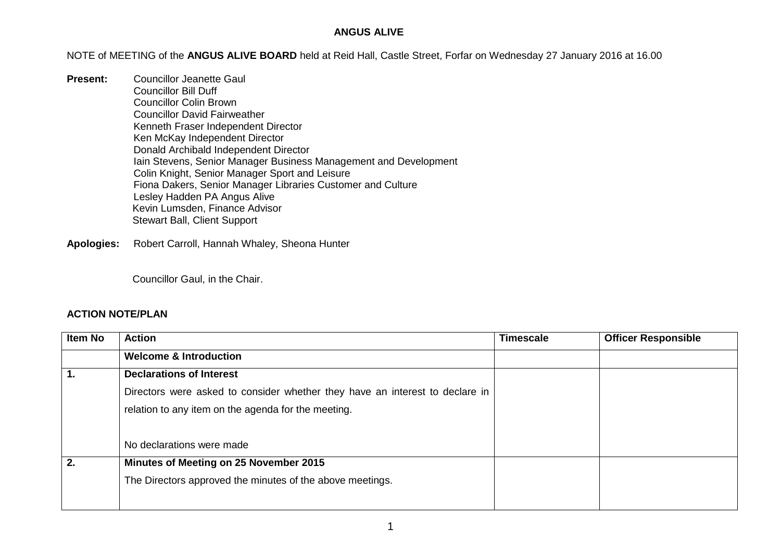## **ANGUS ALIVE**

NOTE of MEETING of the **ANGUS ALIVE BOARD** held at Reid Hall, Castle Street, Forfar on Wednesday 27 January 2016 at 16.00

**Present:** Councillor Jeanette Gaul Councillor Bill Duff Councillor Colin Brown Councillor David Fairweather Kenneth Fraser Independent Director Ken McKay Independent Director Donald Archibald Independent Director Iain Stevens, Senior Manager Business Management and Development Colin Knight, Senior Manager Sport and Leisure Fiona Dakers, Senior Manager Libraries Customer and Culture Lesley Hadden PA Angus Alive Kevin Lumsden, Finance Advisor Stewart Ball, Client Support

**Apologies:** Robert Carroll, Hannah Whaley, Sheona Hunter

Councillor Gaul, in the Chair.

## **ACTION NOTE/PLAN**

| <b>Item No</b> | <b>Action</b>                                                                | <b>Timescale</b> | <b>Officer Responsible</b> |
|----------------|------------------------------------------------------------------------------|------------------|----------------------------|
|                | <b>Welcome &amp; Introduction</b>                                            |                  |                            |
|                | <b>Declarations of Interest</b>                                              |                  |                            |
|                | Directors were asked to consider whether they have an interest to declare in |                  |                            |
|                | relation to any item on the agenda for the meeting.                          |                  |                            |
|                |                                                                              |                  |                            |
|                | No declarations were made                                                    |                  |                            |
| 2.             | Minutes of Meeting on 25 November 2015                                       |                  |                            |
|                | The Directors approved the minutes of the above meetings.                    |                  |                            |
|                |                                                                              |                  |                            |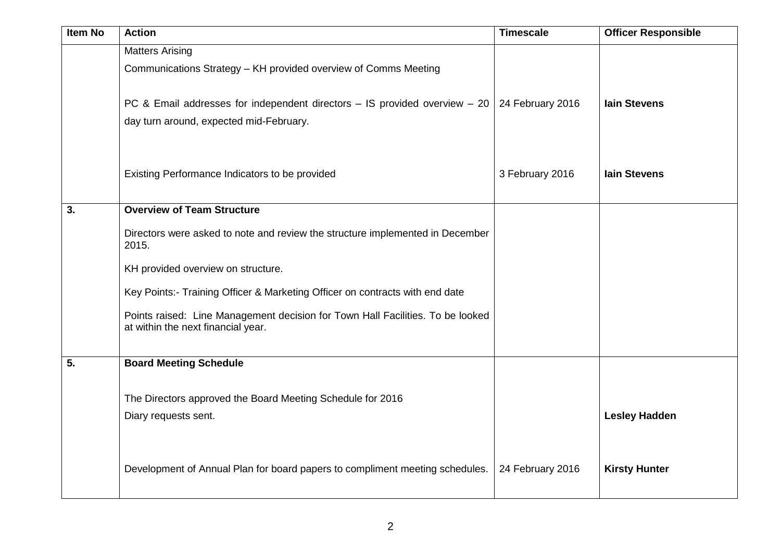| <b>Item No</b> | <b>Action</b>                                                                                                            | <b>Timescale</b> | <b>Officer Responsible</b> |
|----------------|--------------------------------------------------------------------------------------------------------------------------|------------------|----------------------------|
|                | <b>Matters Arising</b><br>Communications Strategy - KH provided overview of Comms Meeting                                |                  |                            |
|                | PC & Email addresses for independent directors $-$ IS provided overview $-20$<br>day turn around, expected mid-February. | 24 February 2016 | <b>lain Stevens</b>        |
|                | Existing Performance Indicators to be provided                                                                           | 3 February 2016  | <b>lain Stevens</b>        |
| 3.             | <b>Overview of Team Structure</b>                                                                                        |                  |                            |
|                | Directors were asked to note and review the structure implemented in December<br>2015.                                   |                  |                            |
|                | KH provided overview on structure.                                                                                       |                  |                            |
|                | Key Points:- Training Officer & Marketing Officer on contracts with end date                                             |                  |                            |
|                | Points raised: Line Management decision for Town Hall Facilities. To be looked<br>at within the next financial year.     |                  |                            |
| 5.             | <b>Board Meeting Schedule</b>                                                                                            |                  |                            |
|                | The Directors approved the Board Meeting Schedule for 2016<br>Diary requests sent.                                       |                  | <b>Lesley Hadden</b>       |
|                | Development of Annual Plan for board papers to compliment meeting schedules.                                             | 24 February 2016 | <b>Kirsty Hunter</b>       |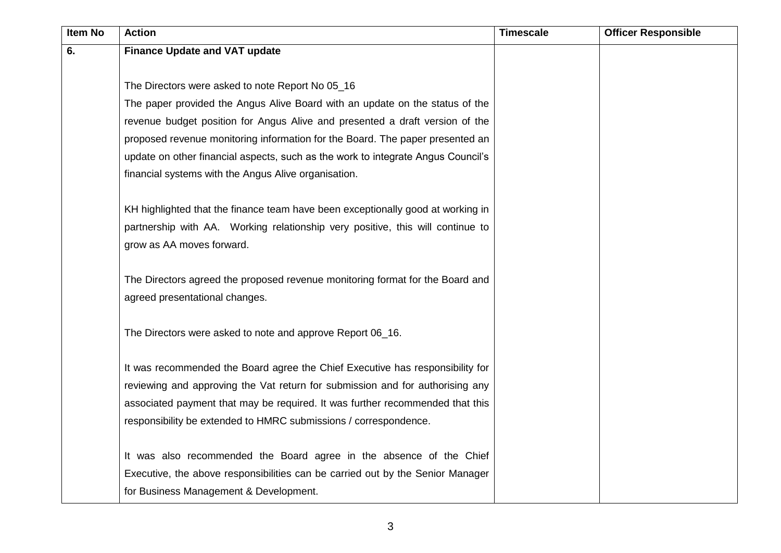| <b>Item No</b> | <b>Action</b>                                                                    | <b>Timescale</b> | <b>Officer Responsible</b> |
|----------------|----------------------------------------------------------------------------------|------------------|----------------------------|
| 6.             | <b>Finance Update and VAT update</b>                                             |                  |                            |
|                |                                                                                  |                  |                            |
|                | The Directors were asked to note Report No 05_16                                 |                  |                            |
|                | The paper provided the Angus Alive Board with an update on the status of the     |                  |                            |
|                | revenue budget position for Angus Alive and presented a draft version of the     |                  |                            |
|                | proposed revenue monitoring information for the Board. The paper presented an    |                  |                            |
|                | update on other financial aspects, such as the work to integrate Angus Council's |                  |                            |
|                | financial systems with the Angus Alive organisation.                             |                  |                            |
|                |                                                                                  |                  |                            |
|                | KH highlighted that the finance team have been exceptionally good at working in  |                  |                            |
|                | partnership with AA. Working relationship very positive, this will continue to   |                  |                            |
|                | grow as AA moves forward.                                                        |                  |                            |
|                |                                                                                  |                  |                            |
|                | The Directors agreed the proposed revenue monitoring format for the Board and    |                  |                            |
|                | agreed presentational changes.                                                   |                  |                            |
|                | The Directors were asked to note and approve Report 06_16.                       |                  |                            |
|                |                                                                                  |                  |                            |
|                | It was recommended the Board agree the Chief Executive has responsibility for    |                  |                            |
|                | reviewing and approving the Vat return for submission and for authorising any    |                  |                            |
|                | associated payment that may be required. It was further recommended that this    |                  |                            |
|                | responsibility be extended to HMRC submissions / correspondence.                 |                  |                            |
|                |                                                                                  |                  |                            |
|                | It was also recommended the Board agree in the absence of the Chief              |                  |                            |
|                | Executive, the above responsibilities can be carried out by the Senior Manager   |                  |                            |
|                | for Business Management & Development.                                           |                  |                            |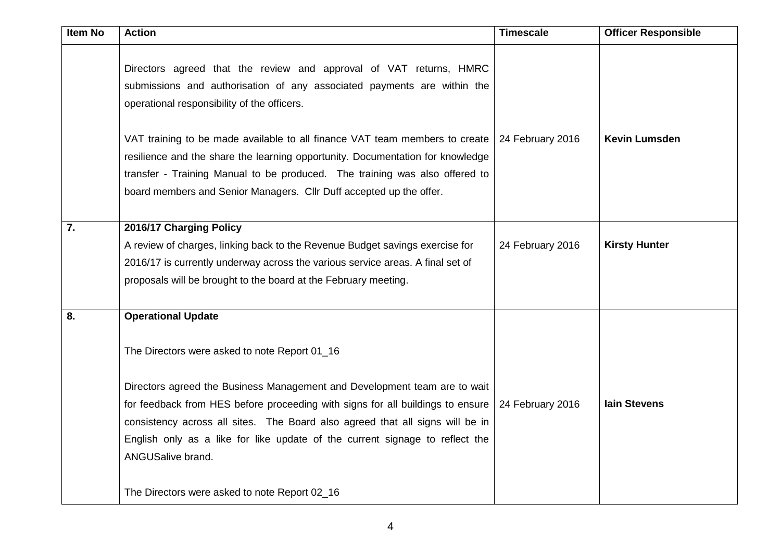| <b>Item No</b>   | <b>Action</b>                                                                                                                                                                                | <b>Timescale</b> | <b>Officer Responsible</b> |
|------------------|----------------------------------------------------------------------------------------------------------------------------------------------------------------------------------------------|------------------|----------------------------|
|                  | Directors agreed that the review and approval of VAT returns, HMRC<br>submissions and authorisation of any associated payments are within the<br>operational responsibility of the officers. |                  |                            |
|                  | VAT training to be made available to all finance VAT team members to create                                                                                                                  | 24 February 2016 | <b>Kevin Lumsden</b>       |
|                  | resilience and the share the learning opportunity. Documentation for knowledge                                                                                                               |                  |                            |
|                  | transfer - Training Manual to be produced. The training was also offered to                                                                                                                  |                  |                            |
|                  | board members and Senior Managers. Cllr Duff accepted up the offer.                                                                                                                          |                  |                            |
|                  |                                                                                                                                                                                              |                  |                            |
| $\overline{7}$ . | 2016/17 Charging Policy                                                                                                                                                                      |                  |                            |
|                  | A review of charges, linking back to the Revenue Budget savings exercise for                                                                                                                 | 24 February 2016 | <b>Kirsty Hunter</b>       |
|                  | 2016/17 is currently underway across the various service areas. A final set of                                                                                                               |                  |                            |
|                  | proposals will be brought to the board at the February meeting.                                                                                                                              |                  |                            |
| 8.               | <b>Operational Update</b>                                                                                                                                                                    |                  |                            |
|                  | The Directors were asked to note Report 01_16                                                                                                                                                |                  |                            |
|                  | Directors agreed the Business Management and Development team are to wait                                                                                                                    |                  |                            |
|                  | for feedback from HES before proceeding with signs for all buildings to ensure                                                                                                               | 24 February 2016 | <b>lain Stevens</b>        |
|                  | consistency across all sites. The Board also agreed that all signs will be in                                                                                                                |                  |                            |
|                  | English only as a like for like update of the current signage to reflect the                                                                                                                 |                  |                            |
|                  | ANGUSalive brand.                                                                                                                                                                            |                  |                            |
|                  | The Directors were asked to note Report 02_16                                                                                                                                                |                  |                            |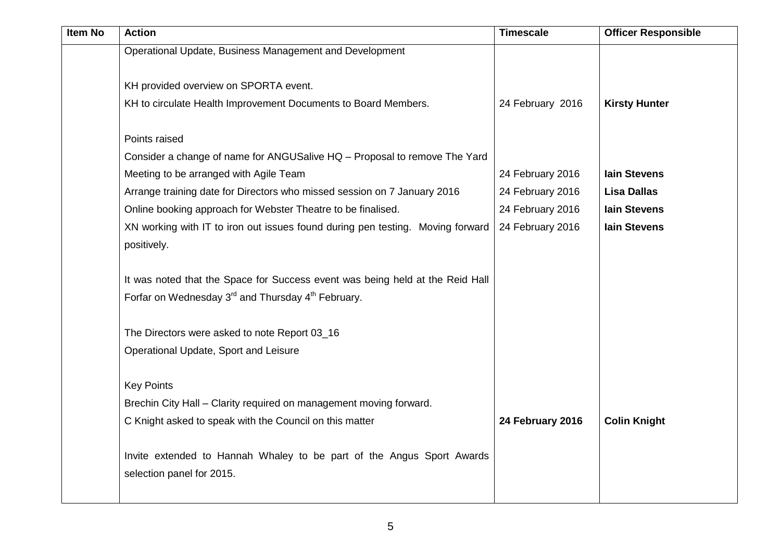| <b>Item No</b> | <b>Action</b>                                                                  | <b>Timescale</b> | <b>Officer Responsible</b> |
|----------------|--------------------------------------------------------------------------------|------------------|----------------------------|
|                | Operational Update, Business Management and Development                        |                  |                            |
|                |                                                                                |                  |                            |
|                | KH provided overview on SPORTA event.                                          |                  |                            |
|                | KH to circulate Health Improvement Documents to Board Members.                 | 24 February 2016 | <b>Kirsty Hunter</b>       |
|                |                                                                                |                  |                            |
|                | Points raised                                                                  |                  |                            |
|                | Consider a change of name for ANGUSalive HQ - Proposal to remove The Yard      |                  |                            |
|                | Meeting to be arranged with Agile Team                                         | 24 February 2016 | <b>lain Stevens</b>        |
|                | Arrange training date for Directors who missed session on 7 January 2016       | 24 February 2016 | <b>Lisa Dallas</b>         |
|                | Online booking approach for Webster Theatre to be finalised.                   | 24 February 2016 | <b>lain Stevens</b>        |
|                | XN working with IT to iron out issues found during pen testing. Moving forward | 24 February 2016 | <b>Iain Stevens</b>        |
|                | positively.                                                                    |                  |                            |
|                |                                                                                |                  |                            |
|                | It was noted that the Space for Success event was being held at the Reid Hall  |                  |                            |
|                | Forfar on Wednesday 3 <sup>rd</sup> and Thursday 4 <sup>th</sup> February.     |                  |                            |
|                |                                                                                |                  |                            |
|                | The Directors were asked to note Report 03_16                                  |                  |                            |
|                | Operational Update, Sport and Leisure                                          |                  |                            |
|                | <b>Key Points</b>                                                              |                  |                            |
|                | Brechin City Hall - Clarity required on management moving forward.             |                  |                            |
|                | C Knight asked to speak with the Council on this matter                        | 24 February 2016 | <b>Colin Knight</b>        |
|                |                                                                                |                  |                            |
|                | Invite extended to Hannah Whaley to be part of the Angus Sport Awards          |                  |                            |
|                | selection panel for 2015.                                                      |                  |                            |
|                |                                                                                |                  |                            |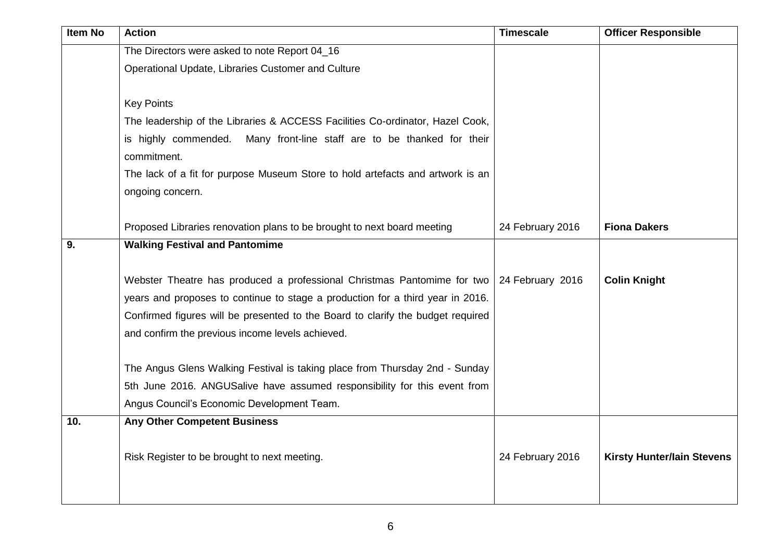| <b>Item No</b> | <b>Action</b>                                                                   | <b>Timescale</b> | <b>Officer Responsible</b>        |
|----------------|---------------------------------------------------------------------------------|------------------|-----------------------------------|
|                | The Directors were asked to note Report 04_16                                   |                  |                                   |
|                | Operational Update, Libraries Customer and Culture                              |                  |                                   |
|                |                                                                                 |                  |                                   |
|                | <b>Key Points</b>                                                               |                  |                                   |
|                | The leadership of the Libraries & ACCESS Facilities Co-ordinator, Hazel Cook,   |                  |                                   |
|                | is highly commended. Many front-line staff are to be thanked for their          |                  |                                   |
|                | commitment.                                                                     |                  |                                   |
|                | The lack of a fit for purpose Museum Store to hold artefacts and artwork is an  |                  |                                   |
|                | ongoing concern.                                                                |                  |                                   |
|                |                                                                                 |                  |                                   |
|                | Proposed Libraries renovation plans to be brought to next board meeting         | 24 February 2016 | <b>Fiona Dakers</b>               |
| 9.             | <b>Walking Festival and Pantomime</b>                                           |                  |                                   |
|                |                                                                                 |                  |                                   |
|                | Webster Theatre has produced a professional Christmas Pantomime for two         | 24 February 2016 | <b>Colin Knight</b>               |
|                | years and proposes to continue to stage a production for a third year in 2016.  |                  |                                   |
|                | Confirmed figures will be presented to the Board to clarify the budget required |                  |                                   |
|                | and confirm the previous income levels achieved.                                |                  |                                   |
|                |                                                                                 |                  |                                   |
|                | The Angus Glens Walking Festival is taking place from Thursday 2nd - Sunday     |                  |                                   |
|                | 5th June 2016. ANGUSalive have assumed responsibility for this event from       |                  |                                   |
|                | Angus Council's Economic Development Team.                                      |                  |                                   |
| 10.            | <b>Any Other Competent Business</b>                                             |                  |                                   |
|                |                                                                                 |                  |                                   |
|                | Risk Register to be brought to next meeting.                                    | 24 February 2016 | <b>Kirsty Hunter/lain Stevens</b> |
|                |                                                                                 |                  |                                   |
|                |                                                                                 |                  |                                   |